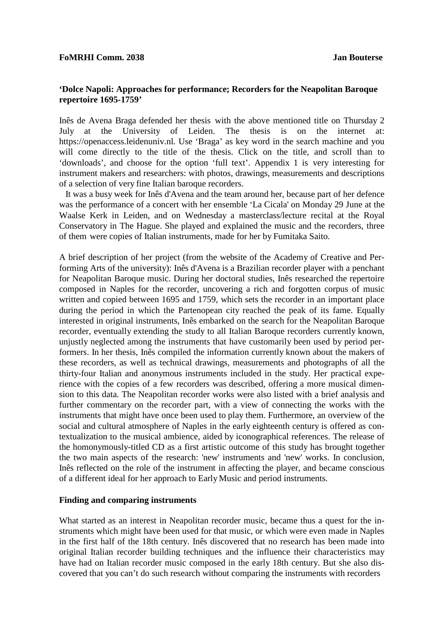## **'Dolce Napoli: Approaches for performance; Recorders for the Neapolitan Baroque repertoire 1695-1759'**

Inês de Avena Braga defended her thesis with the above mentioned title on Thursday 2 July at the University of Leiden. The thesis is on the internet at: https://openaccess.leidenuniv.nl. Use 'Braga' as key word in the search machine and you will come directly to the title of the thesis. Click on the title, and scroll than to 'downloads', and choose for the option 'full text'. Appendix 1 is very interesting for instrument makers and researchers: with photos, drawings, measurements and descriptions of a selection of very fine Italian baroque recorders.

 It was a busy week for Inês d'Avena and the team around her, because part of her defence was the performance of a concert with her ensemble 'La Cicala' on Monday 29 June at the Waalse Kerk in Leiden, and on Wednesday a masterclass/lecture recital at the Royal Conservatory in The Hague. She played and explained the music and the recorders, three of them were copies of Italian instruments, made for her by Fumitaka Saito.

A brief description of her project (from the website of the Academy of Creative and Performing Arts of the university): Inês d'Avena is a Brazilian recorder player with a penchant for Neapolitan Baroque music. During her doctoral studies, Inês researched the repertoire composed in Naples for the recorder, uncovering a rich and forgotten corpus of music written and copied between 1695 and 1759, which sets the recorder in an important place during the period in which the Partenopean city reached the peak of its fame. Equally interested in original instruments, Inês embarked on the search for the Neapolitan Baroque recorder, eventually extending the study to all Italian Baroque recorders currently known, unjustly neglected among the instruments that have customarily been used by period performers. In her thesis, Inês compiled the information currently known about the makers of these recorders, as well as technical drawings, measurements and photographs of all the thirty-four Italian and anonymous instruments included in the study. Her practical experience with the copies of a few recorders was described, offering a more musical dimension to this data. The Neapolitan recorder works were also listed with a brief analysis and further commentary on the recorder part, with a view of connecting the works with the instruments that might have once been used to play them. Furthermore, an overview of the social and cultural atmosphere of Naples in the early eighteenth century is offered as contextualization to the musical ambience, aided by iconographical references. The release of the homonymously-titled CD as a first artistic outcome of this study has brought together the two main aspects of the research: 'new' instruments and 'new' works. In conclusion, Inês reflected on the role of the instrument in affecting the player, and became conscious of a different ideal for her approach to EarlyMusic and period instruments.

## **Finding and comparing instruments**

What started as an interest in Neapolitan recorder music, became thus a quest for the instruments which might have been used for that music, or which were even made in Naples in the first half of the 18th century. Inês discovered that no research has been made into original Italian recorder building techniques and the influence their characteristics may have had on Italian recorder music composed in the early 18th century. But she also discovered that you can't do such research without comparing the instruments with recorders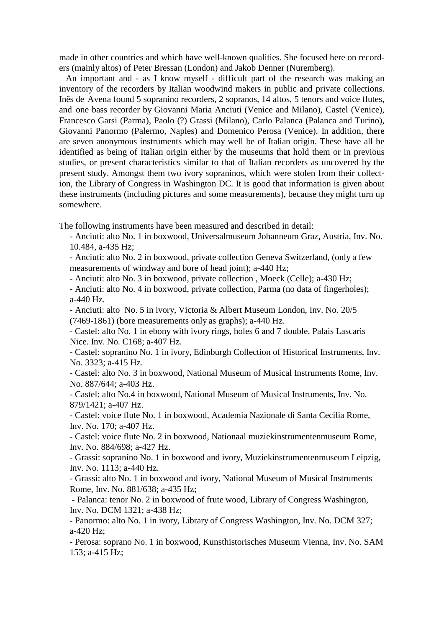made in other countries and which have well-known qualities. She focused here on recorders (mainly altos) of Peter Bressan (London) and Jakob Denner (Nuremberg).

 An important and - as I know myself - difficult part of the research was making an inventory of the recorders by Italian woodwind makers in public and private collections. Inês de Avena found 5 sopranino recorders, 2 sopranos, 14 altos, 5 tenors and voice flutes, and one bass recorder by Giovanni Maria Anciuti (Venice and Milano), Castel (Venice), Francesco Garsi (Parma), Paolo (?) Grassi (Milano), Carlo Palanca (Palanca and Turino), Giovanni Panormo (Palermo, Naples) and Domenico Perosa (Venice). In addition, there are seven anonymous instruments which may well be of Italian origin. These have all be identified as being of Italian origin either by the museums that hold them or in previous studies, or present characteristics similar to that of Italian recorders as uncovered by the present study. Amongst them two ivory sopraninos, which were stolen from their collection, the Library of Congress in Washington DC. It is good that information is given about these instruments (including pictures and some measurements), because they might turn up somewhere.

The following instruments have been measured and described in detail:

- Anciuti: alto No. 1 in boxwood, Universalmuseum Johanneum Graz, Austria, Inv. No. 10.484, a-435 Hz;

- Anciuti: alto No. 2 in boxwood, private collection Geneva Switzerland, (only a few measurements of windway and bore of head joint); a-440 Hz;

- Anciuti: alto No. 3 in boxwood, private collection , Moeck (Celle); a-430 Hz;

- Anciuti: alto No. 4 in boxwood, private collection, Parma (no data of fingerholes); a-440 Hz.

- Anciuti: alto No. 5 in ivory, Victoria & Albert Museum London, Inv. No. 20/5 (7469-1861) (bore measurements only as graphs); a-440 Hz.

- Castel: alto No. 1 in ebony with ivory rings, holes 6 and 7 double, Palais Lascaris Nice. Inv. No. C168; a-407 Hz.

- Castel: sopranino No. 1 in ivory, Edinburgh Collection of Historical Instruments, Inv. No. 3323; a-415 Hz.

- Castel: alto No. 3 in boxwood, National Museum of Musical Instruments Rome, Inv. No. 887/644; a-403 Hz.

- Castel: alto No.4 in boxwood, National Museum of Musical Instruments, Inv. No. 879/1421; a-407 Hz.

- Castel: voice flute No. 1 in boxwood, Academia Nazionale di Santa Cecilia Rome, Inv. No. 170; a-407 Hz.

- Castel: voice flute No. 2 in boxwood, Nationaal muziekinstrumentenmuseum Rome, Inv. No. 884/698; a-427 Hz.

- Grassi: sopranino No. 1 in boxwood and ivory, Muziekinstrumentenmuseum Leipzig, Inv. No. 1113; a-440 Hz.

- Grassi: alto No. 1 in boxwood and ivory, National Museum of Musical Instruments Rome, Inv. No. 881/638; a-435 Hz;

- Palanca: tenor No. 2 in boxwood of frute wood, Library of Congress Washington, Inv. No. DCM 1321; a-438 Hz;

- Panormo: alto No. 1 in ivory, Library of Congress Washington, Inv. No. DCM 327; a-420 Hz;

- Perosa: soprano No. 1 in boxwood, Kunsthistorisches Museum Vienna, Inv. No. SAM 153; a-415 Hz;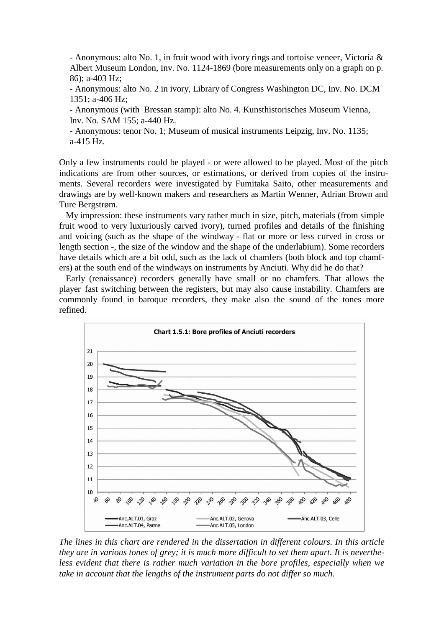- Anonymous: alto No. 1, in fruit wood with ivory rings and tortoise veneer, Victoria & Albert Museum London, Inv. No. 1124-1869 (bore measurements only on a graph on p. 86); a-403 Hz;

- Anonymous: alto No. 2 in ivory, Library of Congress Washington DC, Inv. No. DCM 1351; a-406 Hz;

- Anonymous (with Bressan stamp): alto No. 4. Kunsthistorisches Museum Vienna, Inv. No. SAM 155; a-440 Hz.

- Anonymous: tenor No. 1; Museum of musical instruments Leipzig, Inv. No. 1135; a-415 Hz.

Only a few instruments could be played - or were allowed to be played. Most of the pitch indications are from other sources, or estimations, or derived from copies of the instruments. Several recorders were investigated by Fumitaka Saito, other measurements and drawings are by well-known makers and researchers as Martin Wenner, Adrian Brown and Ture Bergstrøm.

 My impression: these instruments vary rather much in size, pitch, materials (from simple fruit wood to very luxuriously carved ivory), turned profiles and details of the finishing and voicing (such as the shape of the windway - flat or more or less curved in cross or length section -, the size of the window and the shape of the underlabium). Some recorders have details which are a bit odd, such as the lack of chamfers (both block and top chamfers) at the south end of the windways on instruments by Anciuti. Why did he do that?

 Early (renaissance) recorders generally have small or no chamfers. That allows the player fast switching between the registers, but may also cause instability. Chamfers are commonly found in baroque recorders, they make also the sound of the tones more refined.



*The lines in this chart are rendered in the dissertation in different colours. In this article they are in various tones of grey; it is much more difficult to set them apart. It is nevertheless evident that there is rather much variation in the bore profiles, especially when we take in account that the lengths of the instrument parts do not differ so much.*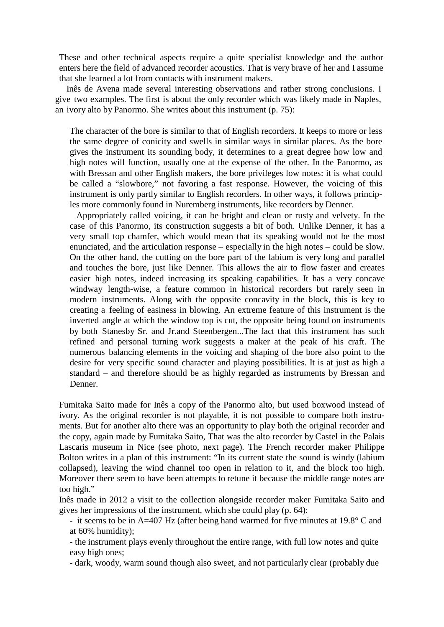These and other technical aspects require a quite specialist knowledge and the author enters here the field of advanced recorder acoustics. That is very brave of her and I assume that she learned a lot from contacts with instrument makers.

 Inês de Avena made several interesting observations and rather strong conclusions. I give two examples. The first is about the only recorder which was likely made in Naples, an ivory alto by Panormo. She writes about this instrument (p. 75):

The character of the bore is similar to that of English recorders. It keeps to more or less the same degree of conicity and swells in similar ways in similar places. As the bore gives the instrument its sounding body, it determines to a great degree how low and high notes will function, usually one at the expense of the other. In the Panormo, as with Bressan and other English makers, the bore privileges low notes: it is what could be called a "slowbore," not favoring a fast response. However, the voicing of this instrument is only partly similar to English recorders. In other ways, it follows principles more commonly found in Nuremberg instruments, like recorders by Denner.

 Appropriately called voicing, it can be bright and clean or rusty and velvety. In the case of this Panormo, its construction suggests a bit of both. Unlike Denner, it has a very small top chamfer, which would mean that its speaking would not be the most enunciated, and the articulation response – especially in the high notes – could be slow. On the other hand, the cutting on the bore part of the labium is very long and parallel and touches the bore, just like Denner. This allows the air to flow faster and creates easier high notes, indeed increasing its speaking capabilities. It has a very concave windway length-wise, a feature common in historical recorders but rarely seen in modern instruments. Along with the opposite concavity in the block, this is key to creating a feeling of easiness in blowing. An extreme feature of this instrument is the inverted angle at which the window top is cut, the opposite being found on instruments by both Stanesby Sr. and Jr.and Steenbergen...The fact that this instrument has such refined and personal turning work suggests a maker at the peak of his craft. The numerous balancing elements in the voicing and shaping of the bore also point to the desire for very specific sound character and playing possibilities. It is at just as high a standard – and therefore should be as highly regarded as instruments by Bressan and Denner.

Fumitaka Saito made for Inês a copy of the Panormo alto, but used boxwood instead of ivory. As the original recorder is not playable, it is not possible to compare both instruments. But for another alto there was an opportunity to play both the original recorder and the copy, again made by Fumitaka Saito, That was the alto recorder by Castel in the Palais Lascaris museum in Nice (see photo, next page). The French recorder maker Philippe Bolton writes in a plan of this instrument: "In its current state the sound is windy (labium collapsed), leaving the wind channel too open in relation to it, and the block too high. Moreover there seem to have been attempts to retune it because the middle range notes are too high."

Inês made in 2012 a visit to the collection alongside recorder maker Fumitaka Saito and gives her impressions of the instrument, which she could play (p. 64):

- it seems to be in A=407 Hz (after being hand warmed for five minutes at 19.8° C and at 60% humidity);

- the instrument plays evenly throughout the entire range, with full low notes and quite easy high ones;

- dark, woody, warm sound though also sweet, and not particularly clear (probably due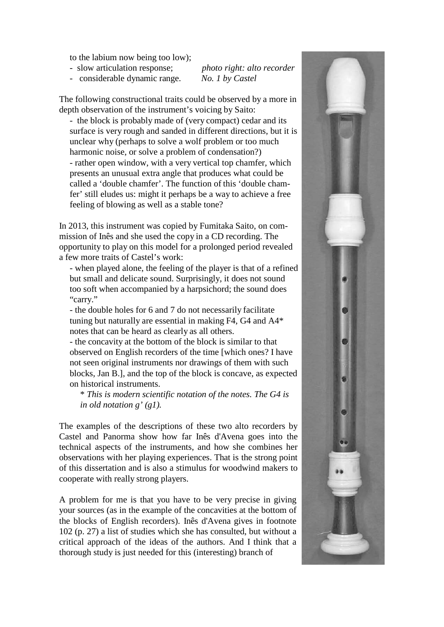to the labium now being too low);

- slow articulation response; *photo right: alto recorder*
- considerable dynamic range. *No. 1 by Castel*

The following constructional traits could be observed by a more in depth observation of the instrument's voicing by Saito:

- the block is probably made of (very compact) cedar and its surface is very rough and sanded in different directions, but it is unclear why (perhaps to solve a wolf problem or too much harmonic noise, or solve a problem of condensation?) - rather open window, with a very vertical top chamfer, which presents an unusual extra angle that produces what could be called a 'double chamfer'. The function of this 'double chamfer' still eludes us: might it perhaps be a way to achieve a free feeling of blowing as well as a stable tone?

In 2013, this instrument was copied by Fumitaka Saito, on commission of Inês and she used the copy in a CD recording. The opportunity to play on this model for a prolonged period revealed a few more traits of Castel's work:

- when played alone, the feeling of the player is that of a refined but small and delicate sound. Surprisingly, it does not sound too soft when accompanied by a harpsichord; the sound does "carry."

- the double holes for 6 and 7 do not necessarily facilitate tuning but naturally are essential in making F4, G4 and A4\* notes that can be heard as clearly as all others.

- the concavity at the bottom of the block is similar to that observed on English recorders of the time [which ones? I have not seen original instruments nor drawings of them with such blocks, Jan B.], and the top of the block is concave, as expected on historical instruments.

\* *This is modern scientific notation of the notes. The G4 is in old notation g' (g1).*

The examples of the descriptions of these two alto recorders by Castel and Panorma show how far Inês d'Avena goes into the technical aspects of the instruments, and how she combines her observations with her playing experiences. That is the strong point of this dissertation and is also a stimulus for woodwind makers to cooperate with really strong players.

A problem for me is that you have to be very precise in giving your sources (as in the example of the concavities at the bottom of the blocks of English recorders). Inês d'Avena gives in footnote 102 (p. 27) a list of studies which she has consulted, but without a critical approach of the ideas of the authors. And I think that a thorough study is just needed for this (interesting) branch of